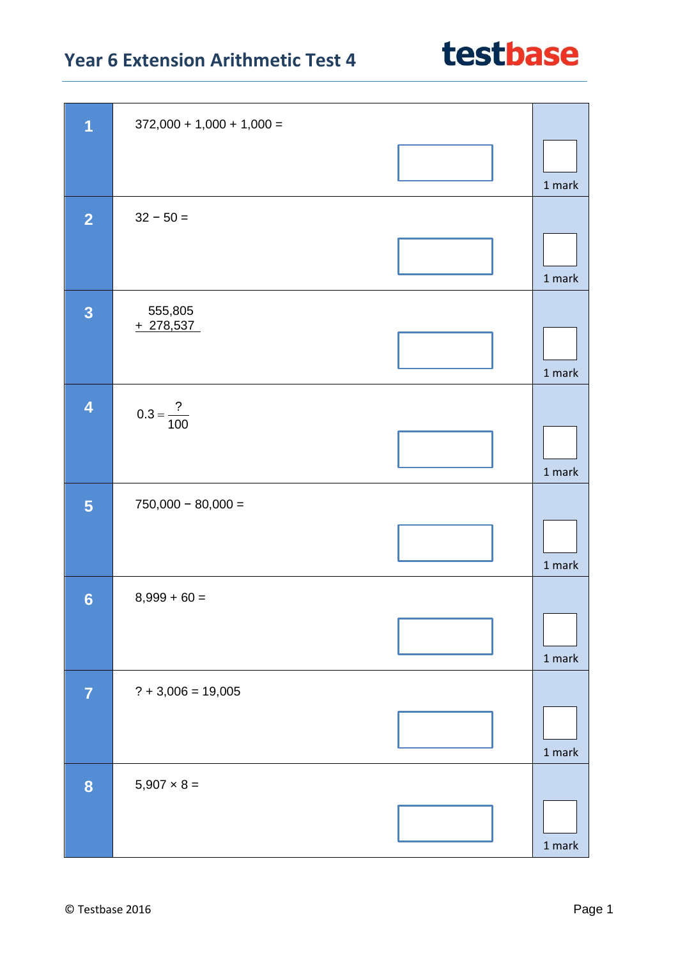| $\overline{\mathbf{1}}$ | $372,000 + 1,000 + 1,000 =$ |        |
|-------------------------|-----------------------------|--------|
|                         |                             | 1 mark |
| $\overline{2}$          | $32 - 50 =$                 |        |
|                         |                             | 1 mark |
| $\overline{\mathbf{3}}$ | 555,805<br>$+278,537$       |        |
|                         |                             | 1 mark |
| $\overline{\mathbf{4}}$ | $0.3 = \frac{?}{100}$       |        |
|                         |                             | 1 mark |
| 5                       | $750,000 - 80,000 =$        |        |
|                         |                             | 1 mark |
| $6\phantom{1}6$         | $8,999 + 60 =$              |        |
|                         |                             | 1 mark |
| $\overline{7}$          | $? + 3,006 = 19,005$        |        |
|                         |                             | 1 mark |
| 8                       | $5,907 \times 8 =$          |        |
|                         |                             | 1 mark |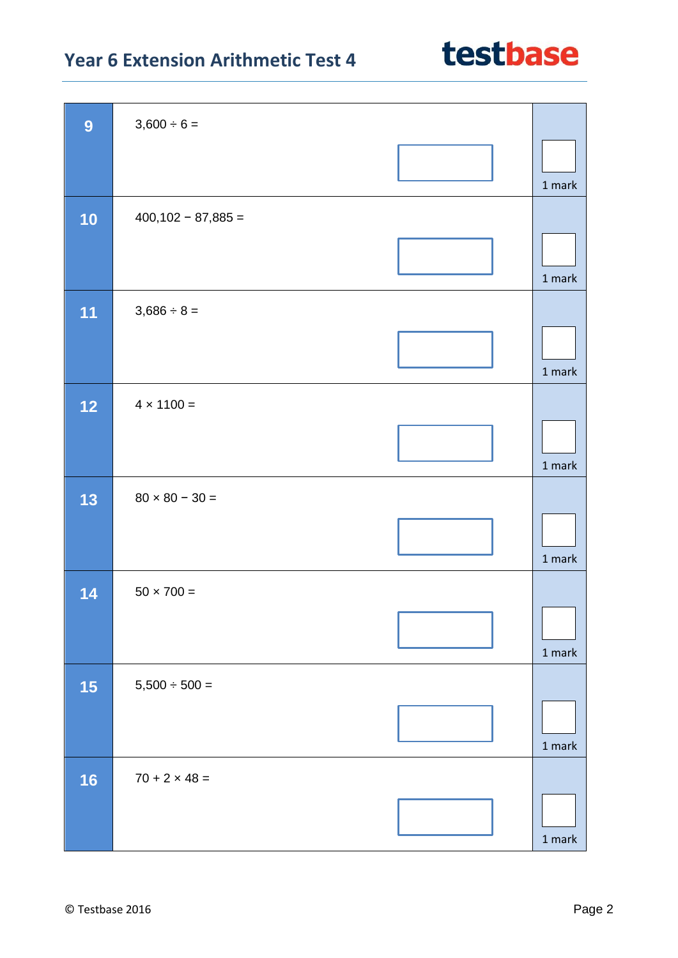| 9    | $3,600 \div 6 =$      |          |
|------|-----------------------|----------|
|      |                       | 1 mark   |
| 10   | $400,102 - 87,885 =$  |          |
|      |                       | 1 mark   |
| 11   | $3,686 \div 8 =$      |          |
|      |                       | 1 mark   |
| $12$ | $4 \times 1100 =$     |          |
|      |                       | 1 mark   |
| 13   | $80 \times 80 - 30 =$ |          |
|      |                       | 1 mark   |
| 14   | $50 \times 700 =$     |          |
|      |                       | $1$ mark |
| 15   | $5,500 \div 500 =$    |          |
|      |                       | $1$ mark |
| 16   | $70 + 2 \times 48 =$  |          |
|      |                       | $1$ mark |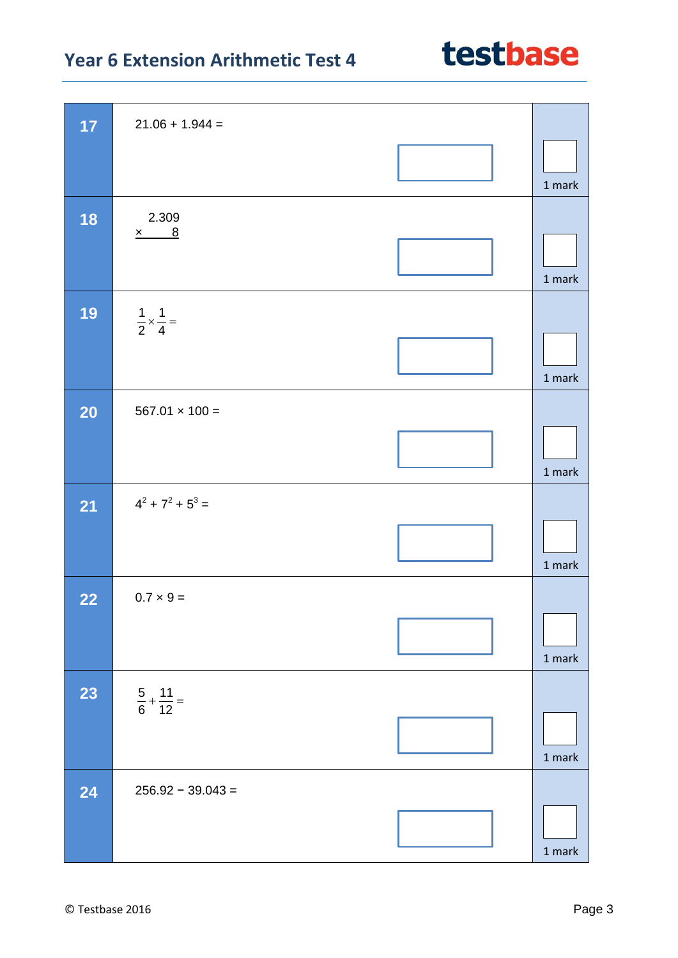| 17        | $21.06 + 1.944 =$                  |               |
|-----------|------------------------------------|---------------|
|           |                                    | 1 mark        |
| 18        | 2.309<br>$x$ 8                     | 1 mark        |
| 19        | $\frac{1}{2} \times \frac{1}{4} =$ | 1 mark        |
| <b>20</b> | $567.01 \times 100 =$              | 1 mark        |
| 21        | $4^2 + 7^2 + 5^3 =$                | 1 mark        |
| 22        | $0.7 \times 9 =$                   | 1 mark        |
| 23        | $\frac{5}{6} + \frac{11}{12} =$    | 1 mark        |
| 24        | $256.92 - 39.043 =$                | $1$ mark $\,$ |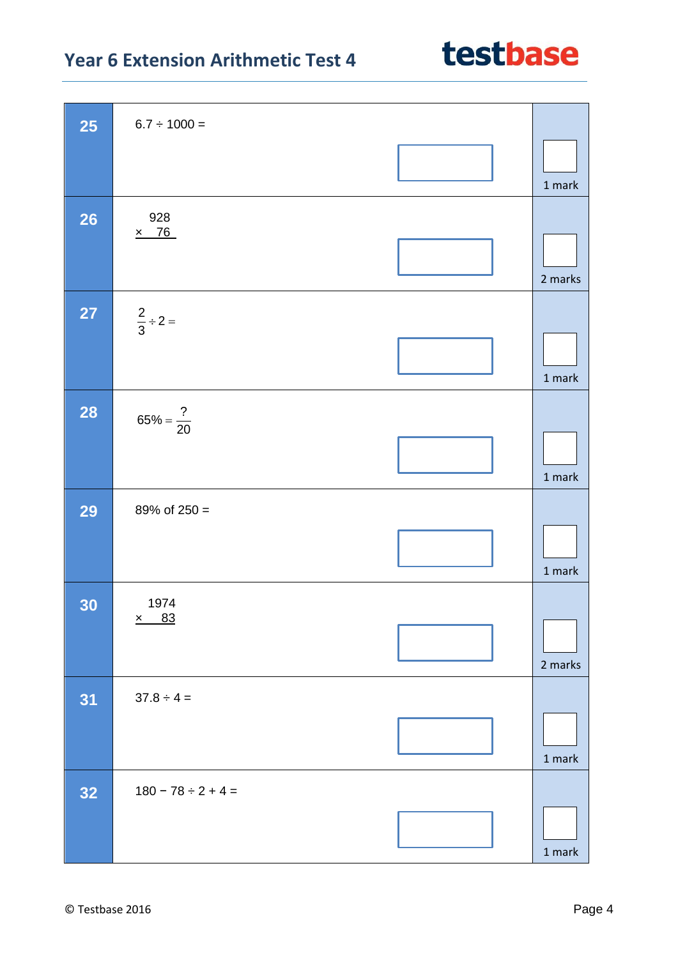| <b>25</b> | $6.7 \div 1000 =$       |                                   |
|-----------|-------------------------|-----------------------------------|
|           |                         | 1 mark                            |
| <b>26</b> | 928<br>$\times$ 76      |                                   |
|           |                         | 2 marks                           |
| <b>27</b> | $\frac{2}{3} \div 2 =$  |                                   |
|           |                         | 1 mark                            |
| <b>28</b> | $65\% = \frac{?}{20}$   |                                   |
|           |                         | 1 mark                            |
| <b>29</b> | 89% of $250 =$          |                                   |
|           |                         | 1 mark                            |
| 30        | 1974                    |                                   |
|           | 83<br>$\underline{x}$   | 2 marks                           |
| 31        | $37.8 \div 4 =$         |                                   |
|           |                         | 1 mark                            |
| 32        | $180 - 78 \div 2 + 4 =$ |                                   |
|           |                         | $1 \ensuremath{\, \mathrm{mark}}$ |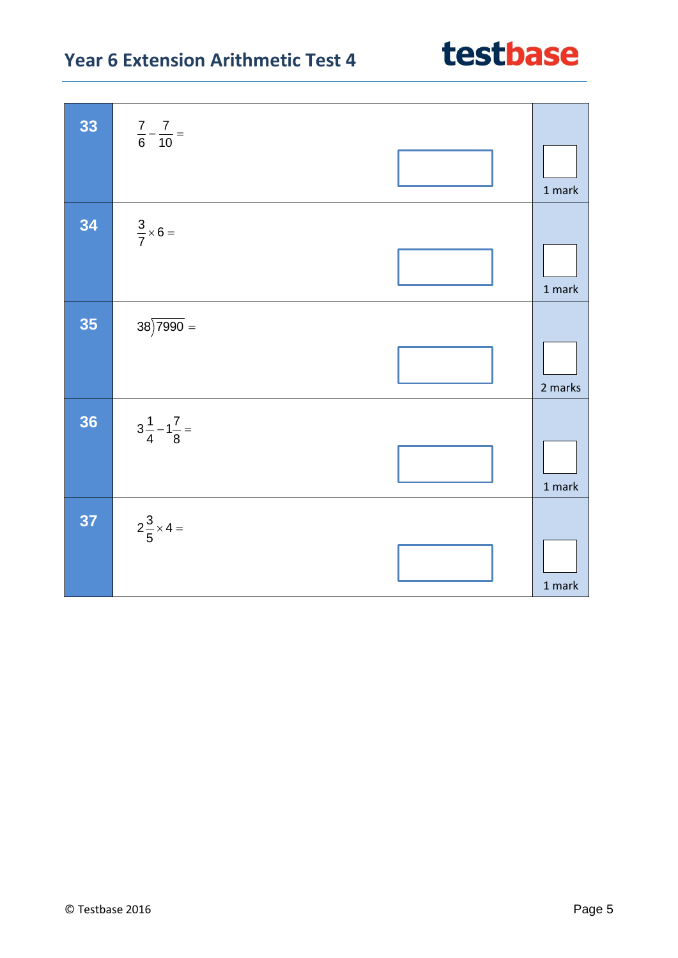| 33 | $rac{7}{6} - \frac{7}{10} =$ | $1$ mark |
|----|------------------------------|----------|
| 34 | $\frac{3}{7} \times 6 =$     | 1 mark   |
| 35 | $38\overline{)7990}$ =       | 2 marks  |
| 36 | $3\frac{1}{4}-1\frac{7}{8}$  | 1 mark   |
| 37 | $2\frac{3}{5} \times 4 =$    | $1$ mark |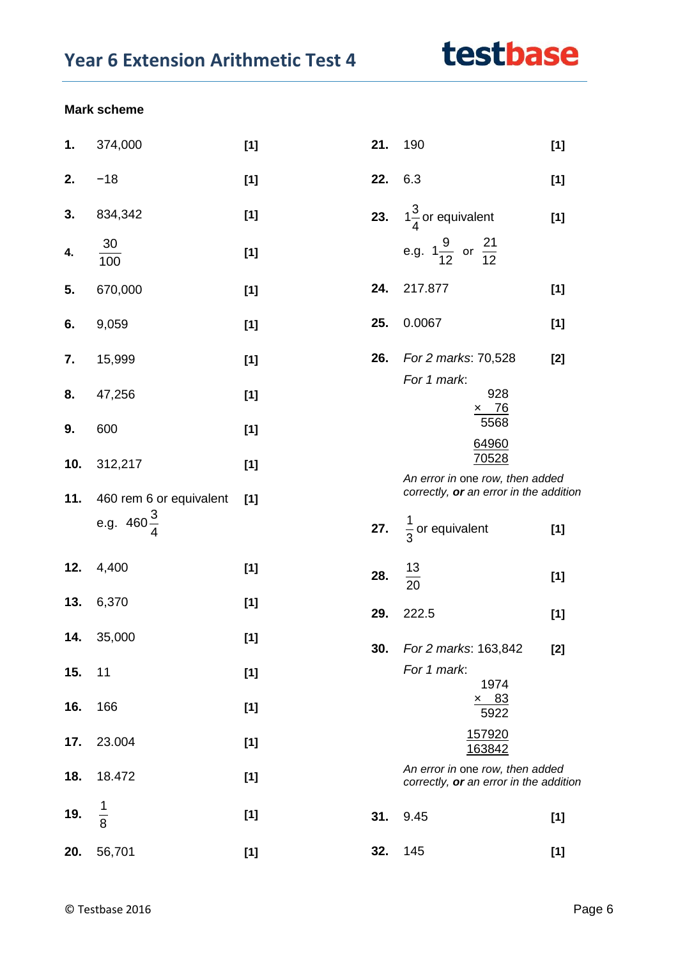#### **Mark scheme**

| 1.  | 374,000                 | $[1]$ | 21. | 190                                                                       | $[1]$ |
|-----|-------------------------|-------|-----|---------------------------------------------------------------------------|-------|
| 2.  | $-18$                   | $[1]$ | 22. | 6.3                                                                       | $[1]$ |
| 3.  | 834,342                 | $[1]$ |     | 23. $1\frac{3}{4}$ or equivalent                                          | $[1]$ |
| 4.  | 30<br>$\overline{100}$  | $[1]$ |     | e.g. $1\frac{9}{12}$ or $\frac{21}{12}$                                   |       |
| 5.  | 670,000                 | $[1]$ | 24. | 217.877                                                                   | $[1]$ |
| 6.  | 9,059                   | $[1]$ | 25. | 0.0067                                                                    | $[1]$ |
| 7.  | 15,999                  | $[1]$ | 26. | For 2 marks: 70,528<br>For 1 mark:                                        | $[2]$ |
| 8.  | 47,256                  | $[1]$ |     | 928<br>$\times$ 76                                                        |       |
| 9.  | 600                     | $[1]$ |     | 5568<br>64960                                                             |       |
| 10. | 312,217                 | $[1]$ |     | 70528<br>An error in one row, then added                                  |       |
| 11. | 460 rem 6 or equivalent | $[1]$ |     | correctly, or an error in the addition                                    |       |
|     | e.g. $460\frac{3}{4}$   |       |     | 27. $\frac{1}{3}$ or equivalent                                           | $[1]$ |
| 12. | 4,400                   | $[1]$ | 28. | $\frac{13}{20}$                                                           | $[1]$ |
| 13. | 6,370                   | $[1]$ | 29. | 222.5                                                                     | $[1]$ |
| 14. | 35,000                  | $[1]$ | 30. | For 2 marks: 163,842                                                      | $[2]$ |
| 15. | 11                      | $[1]$ |     | For 1 mark:<br>1974                                                       |       |
| 16. | 166                     | $[1]$ |     | $\times$ 83<br>5922                                                       |       |
| 17. | 23.004                  | $[1]$ |     | 157920<br>163842                                                          |       |
| 18. | 18.472                  | $[1]$ |     | An error in one row, then added<br>correctly, or an error in the addition |       |
| 19. | $\frac{1}{8}$           | $[1]$ | 31. | 9.45                                                                      | $[1]$ |
| 20. | 56,701                  | $[1]$ | 32. | 145                                                                       | $[1]$ |